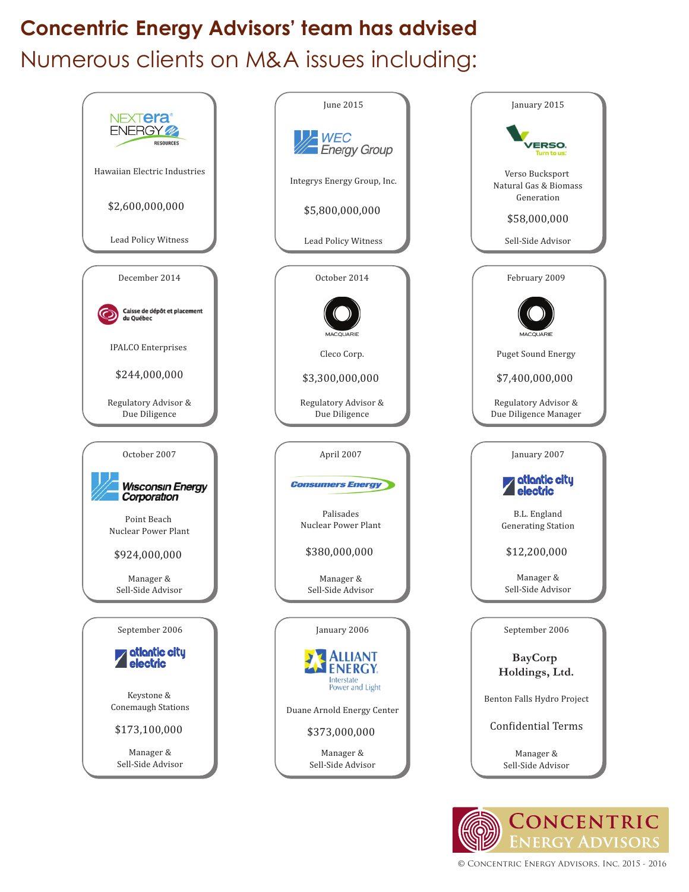## **Concentric Energy Advisors' team has advised** Numerous clients on M&A issues including:



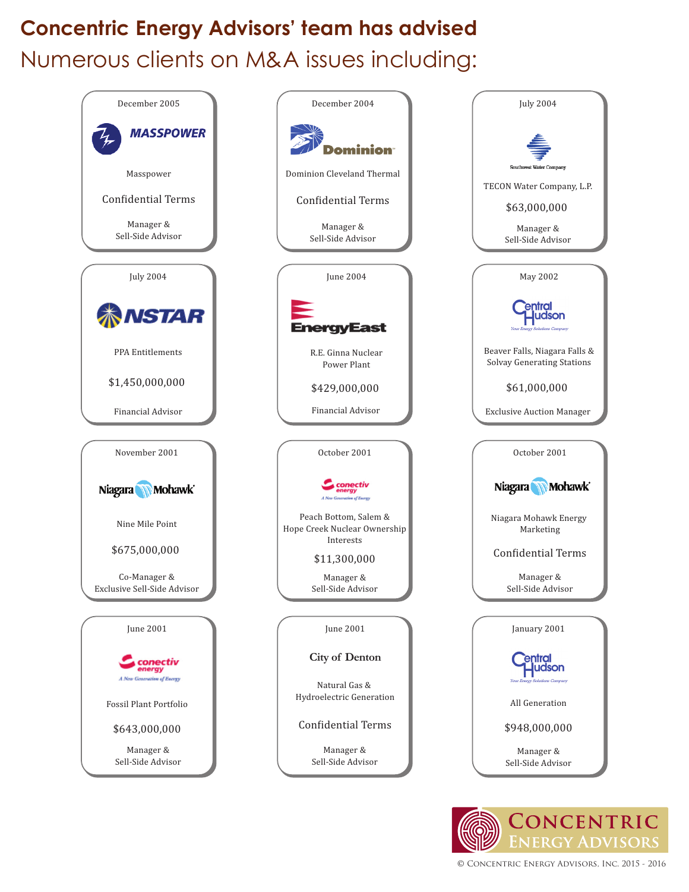## **Concentric Energy Advisors' team has advised** Numerous clients on M&A issues including: